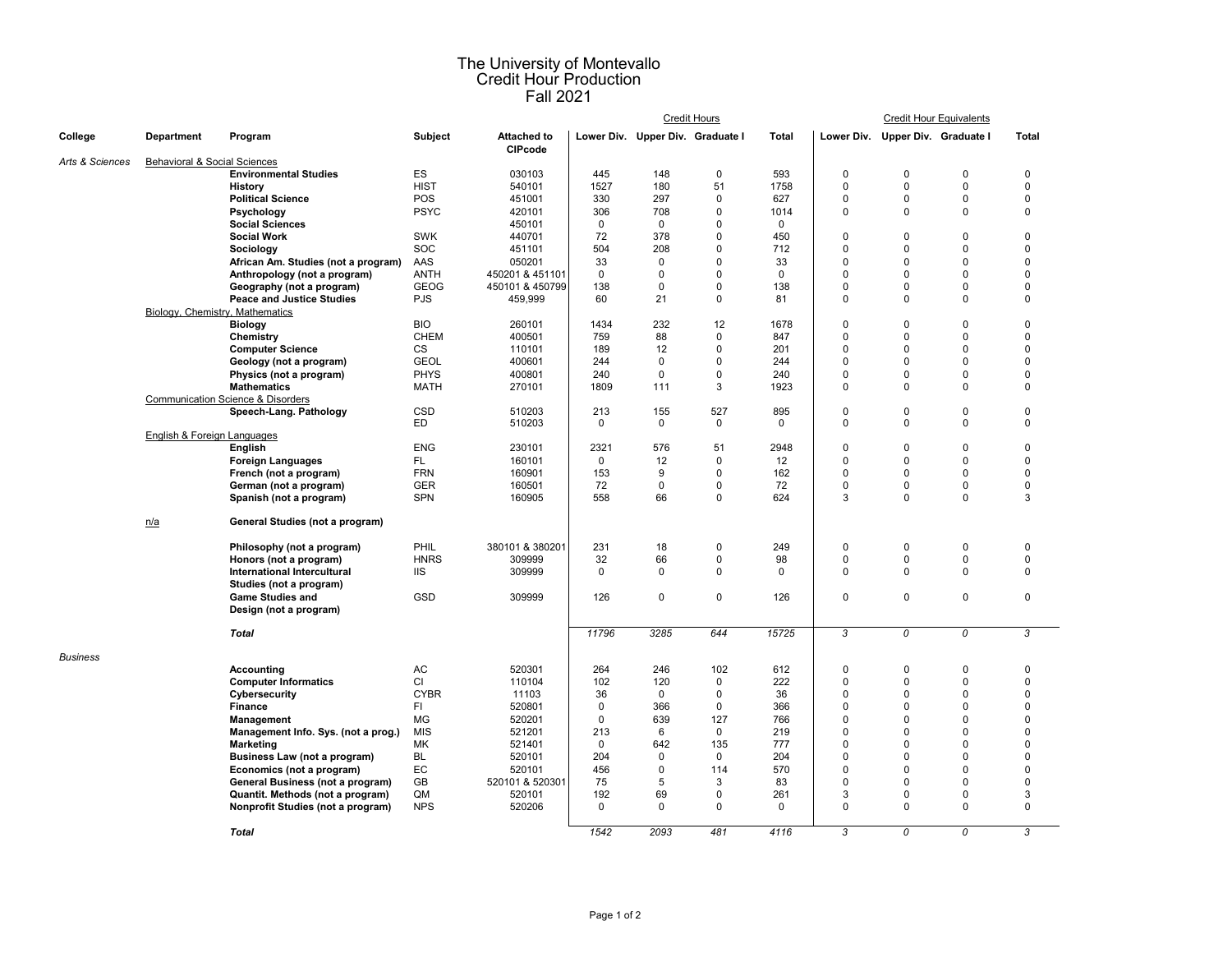## The University of Montevallo Credit Hour Production Fall 2021

|                 |                                 |                                                               |                           |                                      |                                  |                   | <b>Credit Hours</b> | <b>Credit Hour Equivalents</b> |                      |                                  |                            |                      |
|-----------------|---------------------------------|---------------------------------------------------------------|---------------------------|--------------------------------------|----------------------------------|-------------------|---------------------|--------------------------------|----------------------|----------------------------------|----------------------------|----------------------|
| College         | <b>Department</b>               | Program                                                       | <b>Subject</b>            | <b>Attached to</b><br><b>CIPcode</b> | Lower Div. Upper Div. Graduate I |                   |                     | <b>Total</b>                   |                      | Lower Div. Upper Div. Graduate I |                            | <b>Total</b>         |
| Arts & Sciences |                                 | Behavioral & Social Sciences                                  |                           |                                      |                                  |                   |                     |                                |                      |                                  |                            |                      |
|                 |                                 | <b>Environmental Studies</b>                                  | ES                        | 030103                               | 445                              | 148               | $\mathbf 0$         | 593                            | $\mathbf 0$          | $\mathbf 0$                      | $\Omega$                   | $\Omega$             |
|                 |                                 | History                                                       | <b>HIST</b>               | 540101                               | 1527                             | 180               | 51                  | 1758                           | $\mathbf 0$          | $\Omega$                         | $\mathbf 0$                | $\mathbf 0$          |
|                 |                                 | <b>Political Science</b>                                      | POS                       | 451001                               | 330                              | 297               | $\mathbf 0$         | 627                            | $\mathbf 0$          | $\Omega$                         | $\mathbf 0$                | $\mathbf 0$          |
|                 |                                 | Psychology                                                    | <b>PSYC</b>               | 420101                               | 306                              | 708               | $\mathbf 0$         | 1014                           | $\mathbf 0$          | 0                                | $\mathbf 0$                | $\mathbf 0$          |
|                 |                                 | <b>Social Sciences</b>                                        |                           | 450101                               | $\mathbf 0$                      | $\mathbf 0$       | 0                   | $\mathbf 0$                    |                      |                                  |                            |                      |
|                 |                                 | <b>Social Work</b>                                            | <b>SWK</b>                | 440701                               | 72                               | 378               | 0                   | 450                            | $\mathbf 0$          | $\Omega$                         | $\mathbf 0$                | $\mathbf 0$          |
|                 |                                 | Sociology                                                     | SOC                       | 451101                               | 504                              | 208               | 0                   | 712                            | $\Omega$             | $\Omega$                         | $\mathbf 0$                | $\Omega$             |
|                 |                                 | African Am. Studies (not a program)                           | AAS                       | 050201                               | 33                               | $\Omega$          | $\Omega$<br>0       | 33<br>$\Omega$                 | $\Omega$<br>$\Omega$ | $\Omega$                         | $\Omega$                   | $\Omega$<br>$\Omega$ |
|                 |                                 | Anthropology (not a program)                                  | <b>ANTH</b>               | 450201 & 451101                      | $\mathbf 0$                      | $\mathbf 0$       | 0                   |                                | $\Omega$             | $\Omega$<br>$\Omega$             | $\mathbf 0$<br>$\Omega$    | $\Omega$             |
|                 |                                 | Geography (not a program)<br><b>Peace and Justice Studies</b> | <b>GEOG</b><br><b>PJS</b> | 450101 & 450799<br>459,999           | 138<br>60                        | $\mathbf 0$<br>21 | 0                   | 138<br>81                      | 0                    | $\Omega$                         | $\Omega$                   | $\Omega$             |
|                 | Biology, Chemistry, Mathematics |                                                               |                           |                                      |                                  |                   |                     |                                |                      |                                  |                            |                      |
|                 |                                 | <b>Biology</b>                                                | <b>BIO</b>                | 260101                               | 1434                             | 232               | 12                  | 1678                           | $\mathbf 0$          | $\Omega$                         | $\mathbf 0$                | $\mathbf 0$          |
|                 |                                 | Chemistry                                                     | <b>CHEM</b>               | 400501                               | 759                              | 88                | $\Omega$            | 847                            | $\Omega$             | $\Omega$                         | $\mathbf 0$                | $\Omega$             |
|                 |                                 | <b>Computer Science</b>                                       | <b>CS</b>                 | 110101                               | 189                              | 12                | $\mathbf 0$         | 201                            | $\mathbf 0$          | $\Omega$                         | $\mathbf 0$                | $\Omega$             |
|                 |                                 | Geology (not a program)                                       | <b>GEOL</b>               | 400601                               | 244                              | $\mathbf 0$       | $\Omega$            | 244                            | $\Omega$             | $\Omega$                         | $\mathbf 0$                | $\Omega$             |
|                 |                                 | Physics (not a program)                                       | <b>PHYS</b>               | 400801                               | 240                              | $\Omega$          | 0                   | 240                            | $\Omega$             | $\Omega$                         | $\Omega$                   | $\Omega$             |
|                 |                                 | <b>Mathematics</b>                                            | <b>MATH</b>               | 270101                               | 1809                             | 111               | 3                   | 1923                           | $\Omega$             | $\Omega$                         | $\Omega$                   | $\Omega$             |
|                 |                                 | <b>Communication Science &amp; Disorders</b>                  |                           |                                      |                                  |                   |                     |                                |                      |                                  |                            |                      |
|                 |                                 | Speech-Lang. Pathology                                        | <b>CSD</b>                | 510203                               | 213                              | 155               | 527                 | 895                            | $\mathbf 0$          | 0                                | $\pmb{0}$                  | $\mathbf 0$          |
|                 |                                 |                                                               | <b>ED</b>                 | 510203                               | $\mathbf 0$                      | $\mathbf 0$       | 0                   | 0                              | $\mathbf 0$          | 0                                | $\mathbf 0$                | $\mathbf 0$          |
|                 | English & Foreign Languages     |                                                               |                           |                                      |                                  |                   |                     |                                |                      |                                  |                            |                      |
|                 |                                 | English                                                       | <b>ENG</b>                | 230101                               | 2321                             | 576               | 51                  | 2948                           | $\mathbf 0$          | $\Omega$                         | $\mathbf 0$                | $\Omega$             |
|                 |                                 | <b>Foreign Languages</b>                                      | FL.                       | 160101                               | $\mathbf 0$                      | 12                | 0                   | 12                             | $\Omega$             | $\Omega$                         | $\Omega$                   | $\Omega$             |
|                 |                                 | French (not a program)                                        | <b>FRN</b>                | 160901                               | 153                              | 9                 | $\Omega$            | 162                            | $\Omega$             | $\Omega$                         | $\Omega$                   | $\Omega$             |
|                 |                                 | German (not a program)                                        | <b>GER</b>                | 160501                               | 72                               | $\mathbf 0$       | $\mathbf 0$         | 72                             | $\mathbf 0$          | 0                                | $\mathbf 0$                | $\mathbf 0$          |
|                 |                                 | Spanish (not a program)                                       | <b>SPN</b>                | 160905                               | 558                              | 66                | $\mathbf 0$         | 624                            | 3                    | $\Omega$                         | $\mathbf 0$                | 3                    |
|                 | n/a                             | General Studies (not a program)                               |                           |                                      |                                  |                   |                     |                                |                      |                                  |                            |                      |
|                 |                                 | Philosophy (not a program)                                    | PHIL                      | 380101 & 380201                      | 231                              | 18                | 0                   | 249                            | $\mathbf 0$          | $\Omega$                         | $\mathbf 0$                | $\mathbf 0$          |
|                 |                                 | Honors (not a program)                                        | <b>HNRS</b>               | 309999                               | 32                               | 66                | 0                   | 98                             | $\mathbf 0$          | 0                                | $\mathbf 0$                | $\mathbf 0$          |
|                 |                                 | International Intercultural                                   | <b>IIS</b>                | 309999                               | $\mathbf 0$                      | $\mathbf 0$       | 0                   | $\Omega$                       | $\mathbf 0$          | $\Omega$                         | $\mathbf{0}$               | $\Omega$             |
|                 |                                 | Studies (not a program)                                       |                           |                                      |                                  |                   |                     |                                |                      |                                  |                            |                      |
|                 |                                 | <b>Game Studies and</b>                                       | <b>GSD</b>                | 309999                               | 126                              | $\mathbf 0$       | $\mathbf 0$         | 126                            | $\mathbf 0$          | 0                                | $\mathbf 0$                | $\mathbf 0$          |
|                 |                                 | Design (not a program)                                        |                           |                                      |                                  |                   |                     |                                |                      |                                  |                            |                      |
|                 |                                 | Total                                                         |                           |                                      | 11796                            | 3285              | 644                 | 15725                          | 3                    | 0                                | 0                          | 3                    |
| Business        |                                 |                                                               |                           |                                      |                                  |                   |                     |                                |                      |                                  |                            |                      |
|                 |                                 | <b>Accounting</b>                                             | AC                        | 520301                               | 264                              | 246               | 102                 | 612                            | $\pmb{0}$            | $\mathbf 0$                      | $\mathbf 0$                | $\mathbf 0$          |
|                 |                                 | <b>Computer Informatics</b>                                   | CI                        | 110104                               | 102                              | 120               | $\mathbf 0$         | 222                            | $\Omega$             | $\Omega$                         | $\mathbf 0$                | $\mathbf 0$          |
|                 |                                 | Cybersecurity                                                 | <b>CYBR</b>               | 11103                                | 36                               | $\mathbf 0$       | 0                   | 36                             | $\mathbf 0$          | $\Omega$                         | $\mathbf 0$                | $\mathbf 0$          |
|                 |                                 | Finance                                                       | FI.                       | 520801                               | $\mathbf 0$                      | 366               | $\mathbf 0$         | 366                            | $\mathbf 0$          | $\Omega$                         | $\mathbf 0$                | $\mathbf 0$          |
|                 |                                 | Management                                                    | MG                        | 520201                               | $\mathbf 0$                      | 639               | 127                 | 766                            | $\Omega$             | $\Omega$                         | $\mathbf 0$                | $\Omega$             |
|                 |                                 | Management Info. Sys. (not a prog.)                           | <b>MIS</b>                | 521201                               | 213                              | 6                 | $\Omega$            | 219                            | $\Omega$             | $\Omega$                         | $\mathbf 0$                | $\Omega$             |
|                 |                                 | Marketing                                                     | МK                        | 521401                               | $\mathbf 0$                      | 642               | 135                 | 777                            | $\Omega$             | $\Omega$                         | $\mathbf 0$                | 0                    |
|                 |                                 | Business Law (not a program)                                  | <b>BL</b>                 | 520101                               | 204                              | $\mathbf 0$       | $\Omega$            | 204                            | $\Omega$             | $\Omega$                         | $\Omega$                   | $\Omega$             |
|                 |                                 | Economics (not a program)                                     | EC                        | 520101                               | 456                              | $\mathbf 0$       | 114                 | 570                            | $\Omega$             | $\Omega$                         | $\mathbf 0$                | $\mathbf 0$          |
|                 |                                 | General Business (not a program)                              | GB                        | 520101 & 520301                      | 75                               | 5                 | 3                   | 83                             | $\Omega$             | $\Omega$                         | $\mathbf 0$                | $\mathbf 0$          |
|                 |                                 | Quantit. Methods (not a program)                              | QM                        | 520101                               | 192<br>$\mathbf 0$               | 69<br>$\mathbf 0$ | 0<br>0              | 261<br>$\mathbf 0$             | 3<br>$\mathbf 0$     | 0<br>$\Omega$                    | $\mathbf 0$<br>$\mathbf 0$ | 3<br>$\mathbf 0$     |
|                 |                                 | Nonprofit Studies (not a program)                             | <b>NPS</b>                | 520206                               |                                  |                   |                     |                                |                      |                                  |                            |                      |
|                 |                                 | <b>Total</b>                                                  |                           |                                      | 1542                             | 2093              | 481                 | 4116                           | 3                    | 0                                | $\overline{0}$             | 3                    |